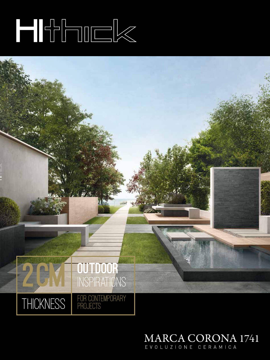# 



## MARCA CORONA 1741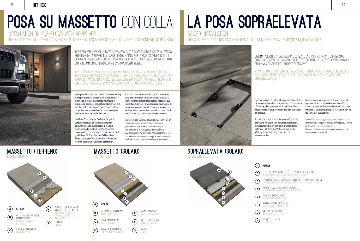88 **HITHICK** | 89

# POSA SU MASSETTO CON COLLA



BARRIERA VAPORE (telo nylon) **CE** BARRIERA VAPORE (TELO NYLON)<br>VAPOUR BARRIER (NYLON CLOTH)



SOLAIO DI COPERTURA  $(\mathbf{H})$  SULAIL

MASSETTO DI PENDENZA **G** MASSETTO DI PENDEN<br>INCLINATION FOOTING

# LA POSA SOPRAELEVATA

# RAISED INSTALLATION



### POSE SURÉLEVÉE / VERLEGUNG ALS DOPPELBODEN / COLOCACIÓN SOBREELEVADA / УКЛАДКА В ВИДЕ ФАЛЬШПОЛА

Sistema facilmente ispezionabile che consente la stesura di impianti di irrigazione, tubazioni e sistemi di illuminazione al di sotto del piano di calpestio. Lastre amovibili per la manutenzione degli elementi sottostanti.

A system that is easy to inspect and allows the installation of irrigation circuits, pipes and lighting systems below the foot plan. Removable slabs for the maintenance of underlying elements.

SOPRAELEVATA (SOLAIO) RAISED (GROUND)

Système facilement contrôlable qui permet l'installation de système d'irrigation, de tuyauteries et de systèmes d'éclairage placés en-dessous du plancher. Dalles repositionnables pour l'entretien des éléments situés en-dessous.

Sistema fácilmente inspeccionable que permite el posicionamiento de instalaciones de irrigación, tuberías y sistemas de iluminación debajo del plano transitable. Losas amovibles para la manutención de los elementos subyacentes.

Das leicht zu inspizierende System ermöglicht die praktische Verlegung von Bewässerungsanlagen, Rohrleitungen, Kabeln und Beleuchtungssysteme unter der Trittfläche. Die Platten können für die Wartung der darunterliegenden Elemente entfernt werden.

Система обеспечивает удобство проверки подплиточного пространства, в котором размещают трубопроводы и кабели систем ирригации, освещения и т.п. Простота демонтажа плиток для проверки или ремонта подпольных коммуникаций.



#### $(A)$  HITHICK

- **B** SUPPORTO DISTANZIATORE (FISSO, REGOLABILE O AUTOLIVELLANTE)<br>SPACER SUPPORT (FIX, ADJUSTABLE OR SELF-LEVELLING)
- GUAINA DI SEPARAZIONE DRENAGGIO SCHLÜTER® TROBA PLUS O SIMILARE GUAINA DI SEPARAZIONE DRENAGGIO SCHLÜTER® - TROBA PLUS O SIMIL<br>DRAINAGE SHEATH OF THE KIND SCHLÜTER® - TROBA PLUS OR THE LIKE
- IMPERMEABILIZZAZIONE (guaina bituminosa) WATER-PROOFING LAYER (WATERPROOFING LAYER) DETERMINES
- ELEMENTO TERMOISOLANTE **ELEMENTO TERMUISULANTE**<br>THERMO-INSULATING ELEMENT



Installation on sub-floor with adhesives POSE SUR CHAPE AVEC COLLE / VERELGUNG AUF ESTRICH MIT KLEBER / COLOCACIÓN SOBRE CONTRAPISO CON ADHESIVO / КЛЕЕВАЯ УКЛАДКА НА СТЯЖКУ



### MASSETTO (TERRENO) FOOTING (GROUND)

### MASSETTO (SOLAIO) FOOTING (FLOOR)

Idéale pour des zones carrossables à l'extérieur, parkings et rampes d'accès de garage, grâce à la résistance extrême de la surface aux charges dynamiques et statiques. La pose exige des joints de dilatation, un joint avec filasse de 3 mm rempli de mortier ciment, et un lavage final avec une solution d'acide tamponné pour éliminer les éventuels résidus invisibles.

Der ideale Bodenbelag für Zufahrten, Parkplätze, Garagenrampen, da die Verlegefläche sowohl bei dynamischen als auch bei statischen Lasten extrem beständig ist. Bei der Verlegung müssen Bewegungsfugen gesetzt werden, sowie eine mit Mörtel gefüllte Fuge mit 3mm Kreuz. Am Schluss ist eine Reinigung mit gepufferter Säure durchzuführen, um mögliche unsichtbare Rückstände zu entfernen.

Ideal para áreas externas en las que transitan coches, para aparcamientos y rampas de garajes, gracias a la gran resistencia a las cargas dinámicas y estáticas que presenta la superficie. Para la colocación sirven juntas de expansión, una junta con distanciador en forma de cruz de 3mm rellena con masilla cementicia, y un lavado final con ácido para quitar eventuales residuos invisibles.

Идеальная для наружных подъездных зон, автостоянок и пандусов гаражей, благодаря чрезвычайной устойчивости поверхности к динамическим и статическим нагрузкам. Для укладки требуются расширительные соединения, шов с перекрестьем 3 м, заполненный цементным раствором, и заключительная мойка кислотой для удаления невидимых остатков.

Ideale per aree carrabili in esterno, parcheggi auto e rampe di garage, grazie all'estrema resistenza della superficie ai carichi dinamici e statici. Per la posa occorrono giunti di dilatazione, una fuga con crocino di 3mm riempita di stucco cementizio, e un lavaggio finale con acido tamponato per rimuoverne eventuali residui invisibili.

Ideal for outdoor areas such as driveways parking spaces and garage ramps, thanks to the incredible surface resistance to both dynamic and static loads. This kind of installation requires expansion joints, a grout line made using 3mm spacers that must be filled in with cement grout, and a final rinsing with buffer acid to remove any invisible residue.



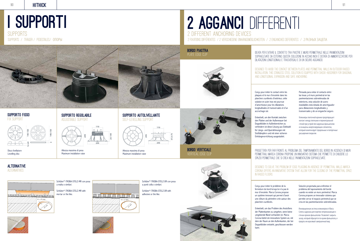

90 **HITHICK**  $\qquad$  91

### **ALTERNATIVE** ALTERNATIVES

## I SUPPORTI SUPPORTS SUPPORTS / TRÄGER / PEDESTALES/ ОПОРЫ



Disco livellatore

## Levelling disc







Altezza massima di posa Maximum installation raise



Altezza massima di posa Maximum installation raise



Schlüter®-TROBA-STELZ-MR with mortar or the like.





Schlüter®-TROBA-STELZ-DR con posa a punti colla o similari.

Schlüter®-TROBA-STELZ-DR with adhesive or the like.

## 2 AGGANCI DIFFERENTI 2 different ANCHORING DEVICES 2 FIXATIONS DIFFÉRENTES / 2 verschiedene Einhängemöglichkeiten / 2 enganches deferentes / 2 РАЗНЫХ ЗАЦЕПА

Ideata per evitare il contatto tra piastre e muro perimetrale nelle pavimentazioni sopraelevate da esterno, questa soluzione in acciaio inox è dotata di ammortizzatore per dilatazioni longitudinali e trasversali e di un sicuro aggancio.

Designed to avoid the contact between plates and perimetral walls in outdoor raised installation, this stainless steel solution is equipped with shock-absorber for diagonal and longitudinal expansion and safe anchoring.

Conçu pour éviter le contact entre les plaques et le mur d'enceinte dans les planchers surélevés d'extérieur, cette solution en acier inox est pourvue d'amortisseur pour les dilatations longitudinales et transversales et d'un accrochage sûr.

Entwickelt, um den Kontakt zwischen den Platten und der Außenmauer bei Doppelböden in Außenbereichen zu verhindern ist diese Lösung aus Edelstahl für Längs- und Querdehnungen mit Stoßdämpfern und mit einer sicheren Einhängevorrichtung ausgestattet.

PROGETTATA PER FAR FRONTE AL PROBLEMA DEL TAMPONAMENTO DEL BORDO IN ASSENZA DI MURI perimetraLI. Marca Corona propone un innovativo sistema che permette di chiudere lo spazio perimetrale che si crea nelle pavimentazioni sopraelevate.

Кляммеры плиточной кромки предотвращает контакт между плитками и периметральной стеной при устройстве наружных фальшполов и оснащены амортизирующим элементом, который компенсирует продольные и поперечные расширения покрытия.

Pensada para evitar el contacto entre las losas y el muro perimetral en las pavimentaciones sobreelevadas de exteriores, esta solución de acero inoxidables está dotada de amortiguador para dilataciones longitudinales y transversales y de un enganche seguro.

Conçu pour éviter le problème de la fermeture du bord lorsqu'on n'a pas le mur d'enceinte. Marca Corona propose un système innovant qui permet d'avoir une clôture du périmètre crée autour des planchers surélevés.

Solución proyectada para enfrentar el problema del taponamiento del borde cuando no existe un muro perimetral. Marca Corona propone un innovador sistema que permite cerrar el espacio perimetral que se crea en las pavimentaciones sobreelevadas.

Entwickelt, um das Problem des Anstoßens der Plattenkanten zu umgehen, wenn keine umgebende Wand vorhanden ist. Marca Corona bietet ein innovatives System an, mit dem der Raum an den Außenkanten, der bei Doppelböden entsteht, geschlossen werden kann.

Инновационная система кляммеров от Marca Corona задумана для отделки непримыкающих к стенам кромок фальшполов. Позволяет закрыть зазор, который образуется по краям фальшпола, и придать им красивый завершенный вид.

Designed to solve the problem of edge plugging in absence of perimetral walls. Marca Corona offers an innovative system that allow for the closing of the perimetral space in raised floors.

BORDO PIASTRA PLATE EDGE CLIP

# BORDO VERTICALE VERTICAL EDGE CLIP